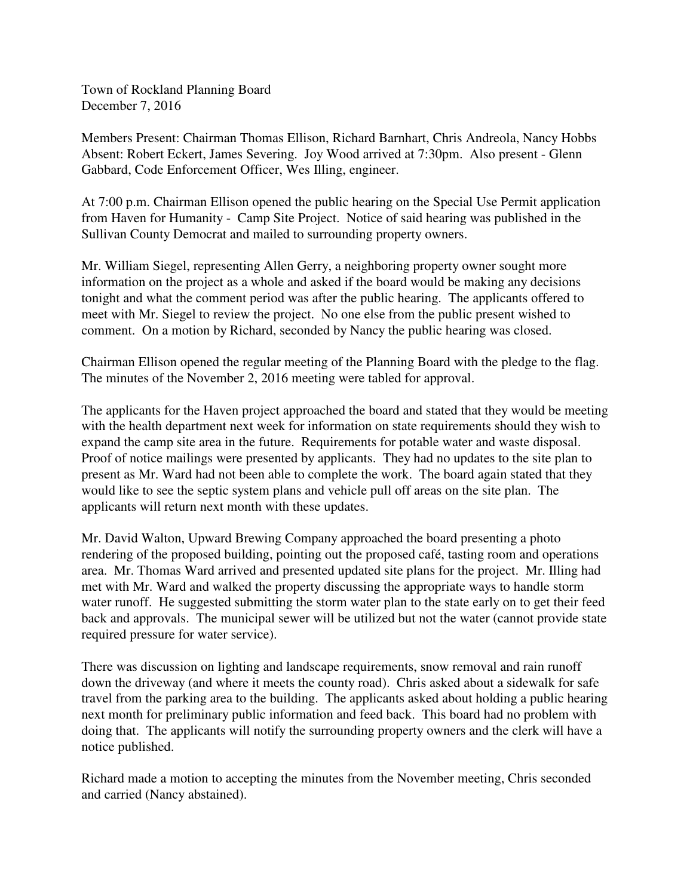Town of Rockland Planning Board December 7, 2016

Members Present: Chairman Thomas Ellison, Richard Barnhart, Chris Andreola, Nancy Hobbs Absent: Robert Eckert, James Severing. Joy Wood arrived at 7:30pm. Also present - Glenn Gabbard, Code Enforcement Officer, Wes Illing, engineer.

At 7:00 p.m. Chairman Ellison opened the public hearing on the Special Use Permit application from Haven for Humanity - Camp Site Project. Notice of said hearing was published in the Sullivan County Democrat and mailed to surrounding property owners.

Mr. William Siegel, representing Allen Gerry, a neighboring property owner sought more information on the project as a whole and asked if the board would be making any decisions tonight and what the comment period was after the public hearing. The applicants offered to meet with Mr. Siegel to review the project. No one else from the public present wished to comment. On a motion by Richard, seconded by Nancy the public hearing was closed.

Chairman Ellison opened the regular meeting of the Planning Board with the pledge to the flag. The minutes of the November 2, 2016 meeting were tabled for approval.

The applicants for the Haven project approached the board and stated that they would be meeting with the health department next week for information on state requirements should they wish to expand the camp site area in the future. Requirements for potable water and waste disposal. Proof of notice mailings were presented by applicants. They had no updates to the site plan to present as Mr. Ward had not been able to complete the work. The board again stated that they would like to see the septic system plans and vehicle pull off areas on the site plan. The applicants will return next month with these updates.

Mr. David Walton, Upward Brewing Company approached the board presenting a photo rendering of the proposed building, pointing out the proposed café, tasting room and operations area. Mr. Thomas Ward arrived and presented updated site plans for the project. Mr. Illing had met with Mr. Ward and walked the property discussing the appropriate ways to handle storm water runoff. He suggested submitting the storm water plan to the state early on to get their feed back and approvals. The municipal sewer will be utilized but not the water (cannot provide state required pressure for water service).

There was discussion on lighting and landscape requirements, snow removal and rain runoff down the driveway (and where it meets the county road). Chris asked about a sidewalk for safe travel from the parking area to the building. The applicants asked about holding a public hearing next month for preliminary public information and feed back. This board had no problem with doing that. The applicants will notify the surrounding property owners and the clerk will have a notice published.

Richard made a motion to accepting the minutes from the November meeting, Chris seconded and carried (Nancy abstained).